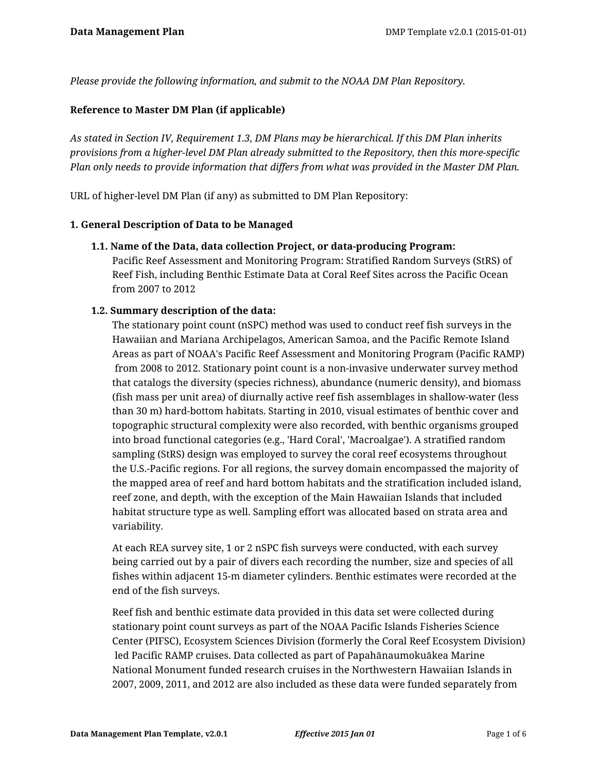*Please provide the following information, and submit to the NOAA DM Plan Repository.*

### **Reference to Master DM Plan (if applicable)**

*As stated in Section IV, Requirement 1.3, DM Plans may be hierarchical. If this DM Plan inherits provisions from a higher-level DM Plan already submitted to the Repository, then this more-specific Plan only needs to provide information that differs from what was provided in the Master DM Plan.*

URL of higher-level DM Plan (if any) as submitted to DM Plan Repository:

#### **1. General Description of Data to be Managed**

#### **1.1. Name of the Data, data collection Project, or data-producing Program:**

Pacific Reef Assessment and Monitoring Program: Stratified Random Surveys (StRS) of Reef Fish, including Benthic Estimate Data at Coral Reef Sites across the Pacific Ocean from 2007 to 2012

#### **1.2. Summary description of the data:**

The stationary point count (nSPC) method was used to conduct reef fish surveys in the Hawaiian and Mariana Archipelagos, American Samoa, and the Pacific Remote Island Areas as part of NOAA's Pacific Reef Assessment and Monitoring Program (Pacific RAMP) from 2008 to 2012. Stationary point count is a non-invasive underwater survey method that catalogs the diversity (species richness), abundance (numeric density), and biomass (fish mass per unit area) of diurnally active reef fish assemblages in shallow-water (less than 30 m) hard-bottom habitats. Starting in 2010, visual estimates of benthic cover and topographic structural complexity were also recorded, with benthic organisms grouped into broad functional categories (e.g., 'Hard Coral', 'Macroalgae'). A stratified random sampling (StRS) design was employed to survey the coral reef ecosystems throughout the U.S.-Pacific regions. For all regions, the survey domain encompassed the majority of the mapped area of reef and hard bottom habitats and the stratification included island, reef zone, and depth, with the exception of the Main Hawaiian Islands that included habitat structure type as well. Sampling effort was allocated based on strata area and variability.

At each REA survey site, 1 or 2 nSPC fish surveys were conducted, with each survey being carried out by a pair of divers each recording the number, size and species of all fishes within adjacent 15-m diameter cylinders. Benthic estimates were recorded at the end of the fish surveys.

Reef fish and benthic estimate data provided in this data set were collected during stationary point count surveys as part of the NOAA Pacific Islands Fisheries Science Center (PIFSC), Ecosystem Sciences Division (formerly the Coral Reef Ecosystem Division) led Pacific RAMP cruises. Data collected as part of Papahānaumokuākea Marine National Monument funded research cruises in the Northwestern Hawaiian Islands in 2007, 2009, 2011, and 2012 are also included as these data were funded separately from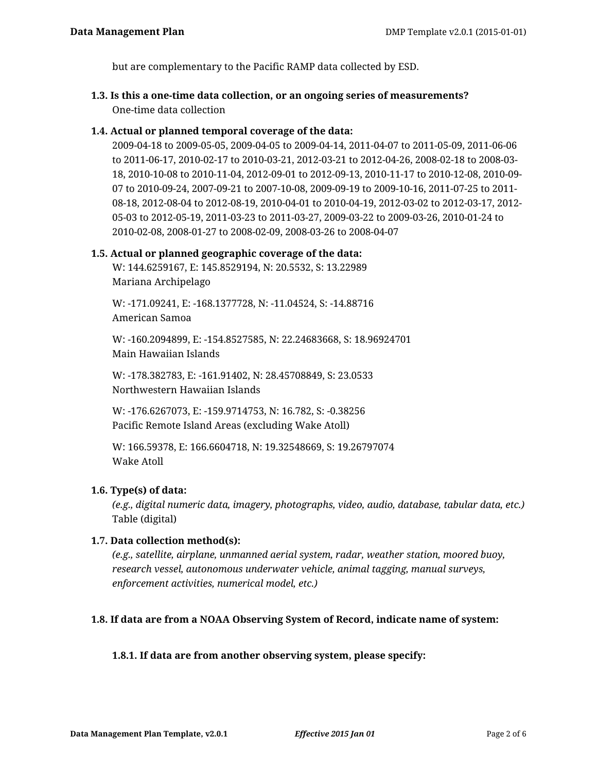but are complementary to the Pacific RAMP data collected by ESD.

**1.3. Is this a one-time data collection, or an ongoing series of measurements?** One-time data collection

# **1.4. Actual or planned temporal coverage of the data:**

2009-04-18 to 2009-05-05, 2009-04-05 to 2009-04-14, 2011-04-07 to 2011-05-09, 2011-06-06 to 2011-06-17, 2010-02-17 to 2010-03-21, 2012-03-21 to 2012-04-26, 2008-02-18 to 2008-03- 18, 2010-10-08 to 2010-11-04, 2012-09-01 to 2012-09-13, 2010-11-17 to 2010-12-08, 2010-09- 07 to 2010-09-24, 2007-09-21 to 2007-10-08, 2009-09-19 to 2009-10-16, 2011-07-25 to 2011- 08-18, 2012-08-04 to 2012-08-19, 2010-04-01 to 2010-04-19, 2012-03-02 to 2012-03-17, 2012- 05-03 to 2012-05-19, 2011-03-23 to 2011-03-27, 2009-03-22 to 2009-03-26, 2010-01-24 to 2010-02-08, 2008-01-27 to 2008-02-09, 2008-03-26 to 2008-04-07

#### **1.5. Actual or planned geographic coverage of the data:**

W: 144.6259167, E: 145.8529194, N: 20.5532, S: 13.22989 Mariana Archipelago

W: -171.09241, E: -168.1377728, N: -11.04524, S: -14.88716 American Samoa

W: -160.2094899, E: -154.8527585, N: 22.24683668, S: 18.96924701 Main Hawaiian Islands

W: -178.382783, E: -161.91402, N: 28.45708849, S: 23.0533 Northwestern Hawaiian Islands

W: -176.6267073, E: -159.9714753, N: 16.782, S: -0.38256 Pacific Remote Island Areas (excluding Wake Atoll)

W: 166.59378, E: 166.6604718, N: 19.32548669, S: 19.26797074 Wake Atoll

# **1.6. Type(s) of data:**

*(e.g., digital numeric data, imagery, photographs, video, audio, database, tabular data, etc.)* Table (digital)

#### **1.7. Data collection method(s):**

*(e.g., satellite, airplane, unmanned aerial system, radar, weather station, moored buoy, research vessel, autonomous underwater vehicle, animal tagging, manual surveys, enforcement activities, numerical model, etc.)*

# **1.8. If data are from a NOAA Observing System of Record, indicate name of system:**

#### **1.8.1. If data are from another observing system, please specify:**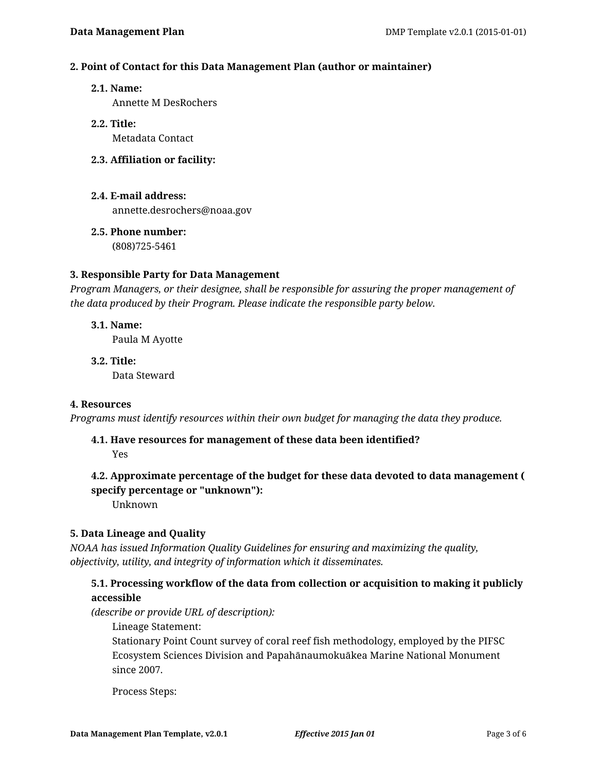#### **2. Point of Contact for this Data Management Plan (author or maintainer)**

#### **2.1. Name:**

Annette M DesRochers

# **2.2. Title:**

Metadata Contact

# **2.3. Affiliation or facility:**

# **2.4. E-mail address:**

annette.desrochers@noaa.gov

# **2.5. Phone number:**

(808)725-5461

# **3. Responsible Party for Data Management**

*Program Managers, or their designee, shall be responsible for assuring the proper management of the data produced by their Program. Please indicate the responsible party below.*

- **3.1. Name:** Paula M Ayotte
- **3.2. Title:** Data Steward

#### **4. Resources**

*Programs must identify resources within their own budget for managing the data they produce.*

# **4.1. Have resources for management of these data been identified?**

Yes

# **4.2. Approximate percentage of the budget for these data devoted to data management ( specify percentage or "unknown"):**

Unknown

# **5. Data Lineage and Quality**

*NOAA has issued Information Quality Guidelines for ensuring and maximizing the quality, objectivity, utility, and integrity of information which it disseminates.*

# **5.1. Processing workflow of the data from collection or acquisition to making it publicly accessible**

*(describe or provide URL of description):*

Lineage Statement:

Stationary Point Count survey of coral reef fish methodology, employed by the PIFSC Ecosystem Sciences Division and Papahānaumokuākea Marine National Monument since 2007.

Process Steps: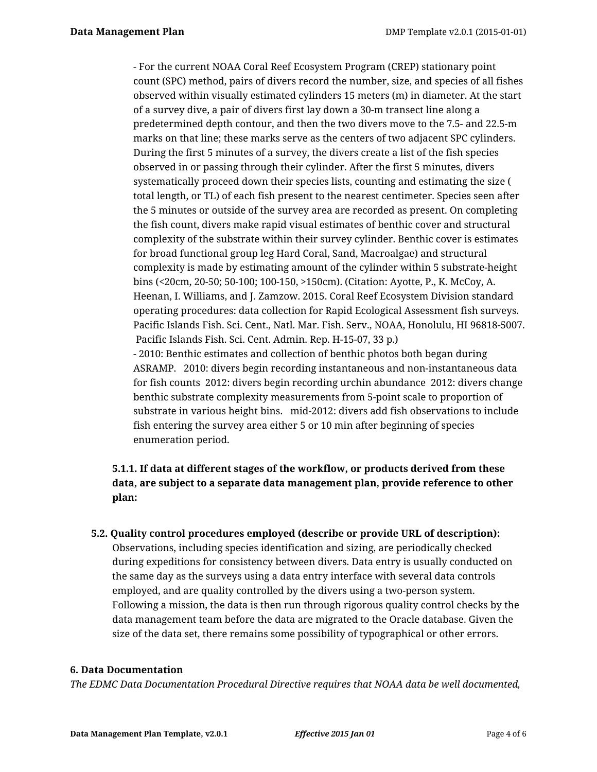- For the current NOAA Coral Reef Ecosystem Program (CREP) stationary point count (SPC) method, pairs of divers record the number, size, and species of all fishes observed within visually estimated cylinders 15 meters (m) in diameter. At the start of a survey dive, a pair of divers first lay down a 30-m transect line along a predetermined depth contour, and then the two divers move to the 7.5- and 22.5-m marks on that line; these marks serve as the centers of two adjacent SPC cylinders. During the first 5 minutes of a survey, the divers create a list of the fish species observed in or passing through their cylinder. After the first 5 minutes, divers systematically proceed down their species lists, counting and estimating the size ( total length, or TL) of each fish present to the nearest centimeter. Species seen after the 5 minutes or outside of the survey area are recorded as present. On completing the fish count, divers make rapid visual estimates of benthic cover and structural complexity of the substrate within their survey cylinder. Benthic cover is estimates for broad functional group leg Hard Coral, Sand, Macroalgae) and structural complexity is made by estimating amount of the cylinder within 5 substrate-height bins (<20cm, 20-50; 50-100; 100-150, >150cm). (Citation: Ayotte, P., K. McCoy, A. Heenan, I. Williams, and J. Zamzow. 2015. Coral Reef Ecosystem Division standard operating procedures: data collection for Rapid Ecological Assessment fish surveys. Pacific Islands Fish. Sci. Cent., Natl. Mar. Fish. Serv., NOAA, Honolulu, HI 96818-5007. Pacific Islands Fish. Sci. Cent. Admin. Rep. H-15-07, 33 p.) - 2010: Benthic estimates and collection of benthic photos both began during ASRAMP. 2010: divers begin recording instantaneous and non-instantaneous data for fish counts 2012: divers begin recording urchin abundance 2012: divers change benthic substrate complexity measurements from 5-point scale to proportion of substrate in various height bins. mid-2012: divers add fish observations to include fish entering the survey area either 5 or 10 min after beginning of species enumeration period.

# **5.1.1. If data at different stages of the workflow, or products derived from these data, are subject to a separate data management plan, provide reference to other plan:**

**5.2. Quality control procedures employed (describe or provide URL of description):** Observations, including species identification and sizing, are periodically checked during expeditions for consistency between divers. Data entry is usually conducted on the same day as the surveys using a data entry interface with several data controls employed, and are quality controlled by the divers using a two-person system. Following a mission, the data is then run through rigorous quality control checks by the data management team before the data are migrated to the Oracle database. Given the size of the data set, there remains some possibility of typographical or other errors.

#### **6. Data Documentation**

*The EDMC Data Documentation Procedural Directive requires that NOAA data be well documented,*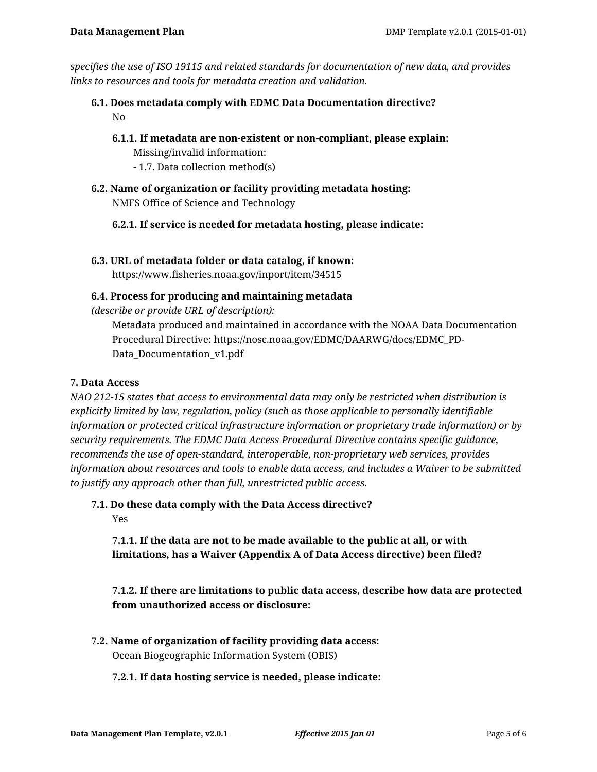*specifies the use of ISO 19115 and related standards for documentation of new data, and provides links to resources and tools for metadata creation and validation.*

- **6.1. Does metadata comply with EDMC Data Documentation directive?** No
	- **6.1.1. If metadata are non-existent or non-compliant, please explain:**

Missing/invalid information:

- 1.7. Data collection method(s)
- **6.2. Name of organization or facility providing metadata hosting:** NMFS Office of Science and Technology
	- **6.2.1. If service is needed for metadata hosting, please indicate:**
- **6.3. URL of metadata folder or data catalog, if known:**

https://www.fisheries.noaa.gov/inport/item/34515

# **6.4. Process for producing and maintaining metadata**

*(describe or provide URL of description):*

Metadata produced and maintained in accordance with the NOAA Data Documentation Procedural Directive: https://nosc.noaa.gov/EDMC/DAARWG/docs/EDMC\_PD-Data\_Documentation\_v1.pdf

# **7. Data Access**

*NAO 212-15 states that access to environmental data may only be restricted when distribution is explicitly limited by law, regulation, policy (such as those applicable to personally identifiable information or protected critical infrastructure information or proprietary trade information) or by security requirements. The EDMC Data Access Procedural Directive contains specific guidance, recommends the use of open-standard, interoperable, non-proprietary web services, provides information about resources and tools to enable data access, and includes a Waiver to be submitted to justify any approach other than full, unrestricted public access.*

**7.1. Do these data comply with the Data Access directive?** Yes

**7.1.1. If the data are not to be made available to the public at all, or with limitations, has a Waiver (Appendix A of Data Access directive) been filed?**

**7.1.2. If there are limitations to public data access, describe how data are protected from unauthorized access or disclosure:**

**7.2. Name of organization of facility providing data access:** Ocean Biogeographic Information System (OBIS)

# **7.2.1. If data hosting service is needed, please indicate:**